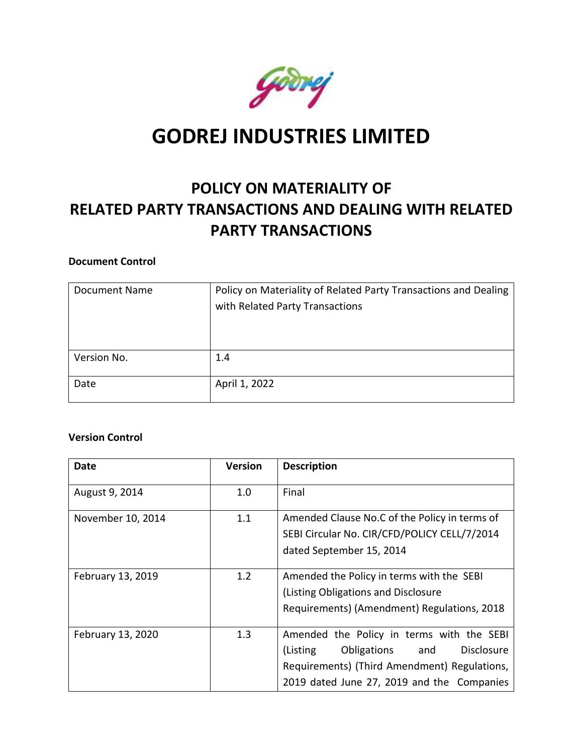

# **GODREJ INDUSTRIES LIMITED**

# **POLICY ON MATERIALITY OF RELATED PARTY TRANSACTIONS AND DEALING WITH RELATED PARTY TRANSACTIONS**

#### **Document Control**

| <b>Document Name</b> | Policy on Materiality of Related Party Transactions and Dealing<br>with Related Party Transactions |
|----------------------|----------------------------------------------------------------------------------------------------|
| Version No.          | 1.4                                                                                                |
| Date                 | April 1, 2022                                                                                      |

#### **Version Control**

| <b>Date</b>       | <b>Version</b> | <b>Description</b>                                                                                                                                                                             |
|-------------------|----------------|------------------------------------------------------------------------------------------------------------------------------------------------------------------------------------------------|
| August 9, 2014    | 1.0            | Final                                                                                                                                                                                          |
| November 10, 2014 | 1.1            | Amended Clause No.C of the Policy in terms of<br>SEBI Circular No. CIR/CFD/POLICY CELL/7/2014<br>dated September 15, 2014                                                                      |
| February 13, 2019 | 1.2            | Amended the Policy in terms with the SEBI<br>(Listing Obligations and Disclosure)<br>Requirements) (Amendment) Regulations, 2018                                                               |
| February 13, 2020 | 1.3            | Amended the Policy in terms with the SEBI<br>(Listing<br>Obligations<br><b>Disclosure</b><br>and<br>Requirements) (Third Amendment) Regulations,<br>2019 dated June 27, 2019 and the Companies |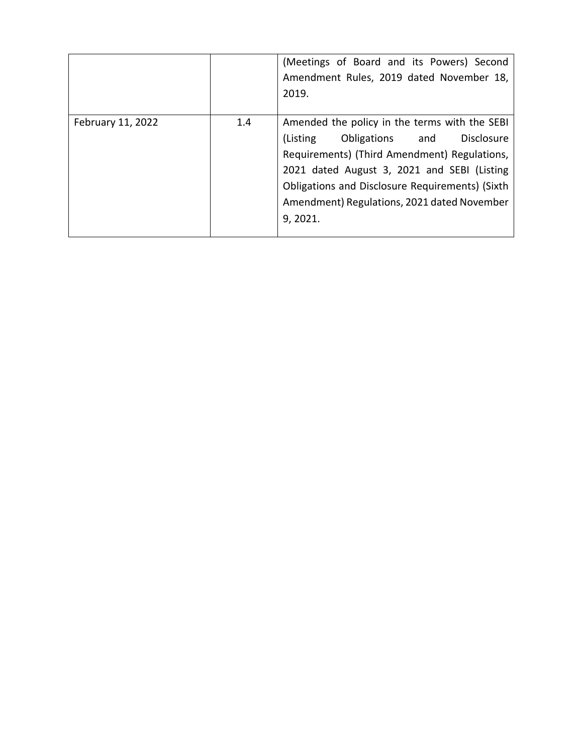|                   |     | (Meetings of Board and its Powers) Second<br>Amendment Rules, 2019 dated November 18,<br>2019.                                                                                                                                                                                                                 |
|-------------------|-----|----------------------------------------------------------------------------------------------------------------------------------------------------------------------------------------------------------------------------------------------------------------------------------------------------------------|
| February 11, 2022 | 1.4 | Amended the policy in the terms with the SEBI<br>(Listing<br>Obligations and<br><b>Disclosure</b><br>Requirements) (Third Amendment) Regulations,<br>2021 dated August 3, 2021 and SEBI (Listing<br>Obligations and Disclosure Requirements) (Sixth<br>Amendment) Regulations, 2021 dated November<br>9, 2021. |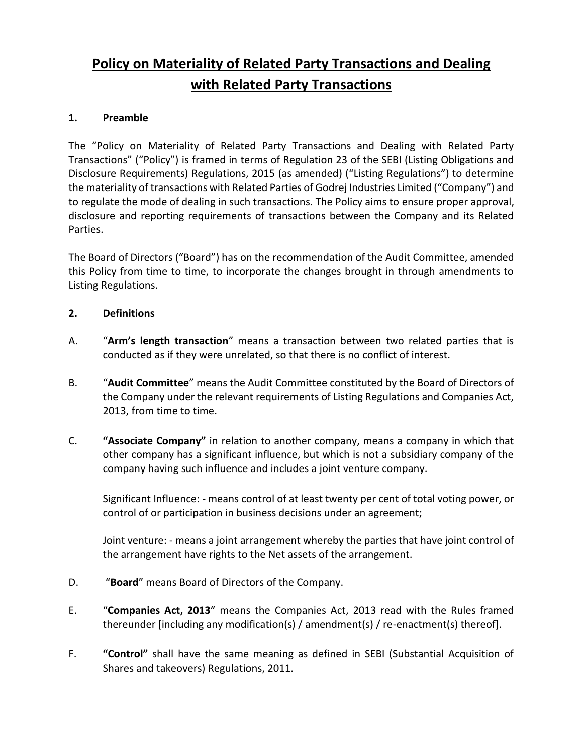# **Policy on Materiality of Related Party Transactions and Dealing with Related Party Transactions**

### **1. Preamble**

The "Policy on Materiality of Related Party Transactions and Dealing with Related Party Transactions" ("Policy") is framed in terms of Regulation 23 of the SEBI (Listing Obligations and Disclosure Requirements) Regulations, 2015 (as amended) ("Listing Regulations") to determine the materiality of transactions with Related Parties of Godrej Industries Limited ("Company") and to regulate the mode of dealing in such transactions. The Policy aims to ensure proper approval, disclosure and reporting requirements of transactions between the Company and its Related Parties.

The Board of Directors ("Board") has on the recommendation of the Audit Committee, amended this Policy from time to time, to incorporate the changes brought in through amendments to Listing Regulations.

# **2. Definitions**

- A. "**Arm's length transaction**" means a transaction between two related parties that is conducted as if they were unrelated, so that there is no conflict of interest.
- B. "**Audit Committee**" means the Audit Committee constituted by the Board of Directors of the Company under the relevant requirements of Listing Regulations and Companies Act, 2013, from time to time.
- C. **"Associate Company"** in relation to another company, means a company in which that other company has a significant influence, but which is not a subsidiary company of the company having such influence and includes a joint venture company.

Significant Influence: - means control of at least twenty per cent of total voting power, or control of or participation in business decisions under an agreement;

Joint venture: - means a joint arrangement whereby the parties that have joint control of the arrangement have rights to the Net assets of the arrangement.

- D. "**Board**" means Board of Directors of the Company.
- E. "**Companies Act, 2013**" means the Companies Act, 2013 read with the Rules framed thereunder [including any modification(s) / amendment(s) / re-enactment(s) thereof].
- F. **"Control"** shall have the same meaning as defined in SEBI (Substantial Acquisition of Shares and takeovers) Regulations, 2011.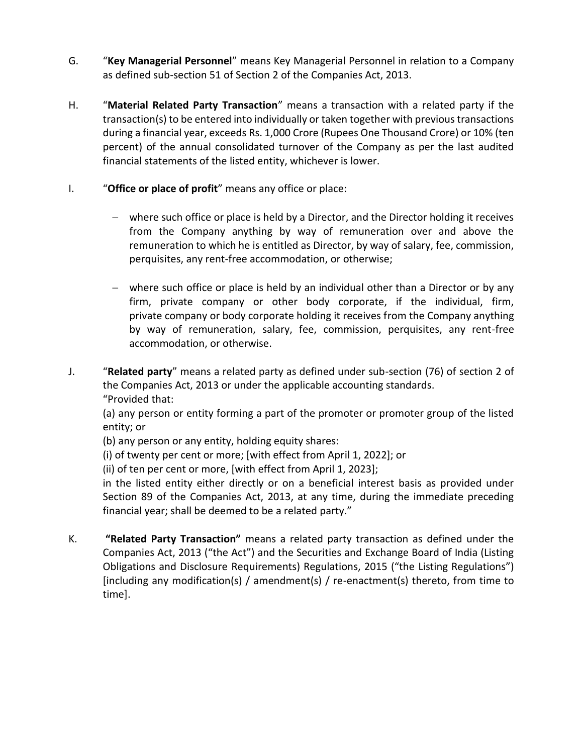- G. "**Key Managerial Personnel**" means Key Managerial Personnel in relation to a Company as defined sub-section 51 of Section 2 of the Companies Act, 2013.
- H. "**Material Related Party Transaction**" means a transaction with a related party if the transaction(s) to be entered into individually or taken together with previous transactions during a financial year, exceeds Rs. 1,000 Crore (Rupees One Thousand Crore) or 10% (ten percent) of the annual consolidated turnover of the Company as per the last audited financial statements of the listed entity, whichever is lower.
- I. "**Office or place of profit**" means any office or place:
	- where such office or place is held by a Director, and the Director holding it receives from the Company anything by way of remuneration over and above the remuneration to which he is entitled as Director, by way of salary, fee, commission, perquisites, any rent-free accommodation, or otherwise;
	- where such office or place is held by an individual other than a Director or by any firm, private company or other body corporate, if the individual, firm, private company or body corporate holding it receives from the Company anything by way of remuneration, salary, fee, commission, perquisites, any rent-free accommodation, or otherwise.
- J. "**Related party**" means a related party as defined under sub-section (76) of section 2 of the Companies Act, 2013 or under the applicable accounting standards. "Provided that:

(a) any person or entity forming a part of the promoter or promoter group of the listed entity; or

(b) any person or any entity, holding equity shares:

(i) of twenty per cent or more; [with effect from April 1, 2022]; or

(ii) of ten per cent or more, [with effect from April 1, 2023];

in the listed entity either directly or on a beneficial interest basis as provided under Section 89 of the Companies Act, 2013, at any time, during the immediate preceding financial year; shall be deemed to be a related party."

K. **"Related Party Transaction"** means a related party transaction as defined under the Companies Act, 2013 ("the Act") and the Securities and Exchange Board of India (Listing Obligations and Disclosure Requirements) Regulations, 2015 ("the Listing Regulations") [including any modification(s) / amendment(s) / re-enactment(s) thereto, from time to time].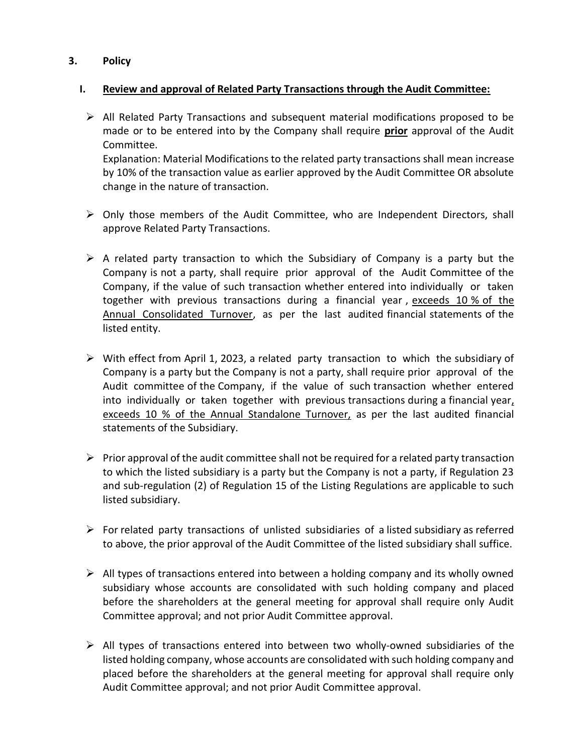#### **3. Policy**

#### **I. Review and approval of Related Party Transactions through the Audit Committee:**

 $\triangleright$  All Related Party Transactions and subsequent material modifications proposed to be made or to be entered into by the Company shall require **prior** approval of the Audit Committee.

Explanation: Material Modifications to the related party transactions shall mean increase by 10% of the transaction value as earlier approved by the Audit Committee OR absolute change in the nature of transaction.

- $\triangleright$  Only those members of the Audit Committee, who are Independent Directors, shall approve Related Party Transactions.
- $\triangleright$  A related party transaction to which the Subsidiary of Company is a party but the Company is not a party, shall require prior approval of the Audit Committee of the Company, if the value of such transaction whether entered into individually or taken together with previous transactions during a financial year , exceeds 10 % of the Annual Consolidated Turnover, as per the last audited financial statements of the listed entity.
- $\triangleright$  With effect from April 1, 2023, a related party transaction to which the subsidiary of Company is a party but the Company is not a party, shall require prior approval of the Audit committee of the Company, if the value of such transaction whether entered into individually or taken together with previous transactions during a financial year, exceeds 10 % of the Annual Standalone Turnover, as per the last audited financial statements of the Subsidiary.
- $\triangleright$  Prior approval of the audit committee shall not be required for a related party transaction to which the listed subsidiary is a party but the Company is not a party, if Regulation 23 and sub-regulation (2) of Regulation 15 of the Listing Regulations are applicable to such listed subsidiary.
- $\triangleright$  For related party transactions of unlisted subsidiaries of a listed subsidiary as referred to above, the prior approval of the Audit Committee of the listed subsidiary shall suffice.
- $\triangleright$  All types of transactions entered into between a holding company and its wholly owned subsidiary whose accounts are consolidated with such holding company and placed before the shareholders at the general meeting for approval shall require only Audit Committee approval; and not prior Audit Committee approval.
- $\triangleright$  All types of transactions entered into between two wholly-owned subsidiaries of the listed holding company, whose accounts are consolidated with such holding company and placed before the shareholders at the general meeting for approval shall require only Audit Committee approval; and not prior Audit Committee approval.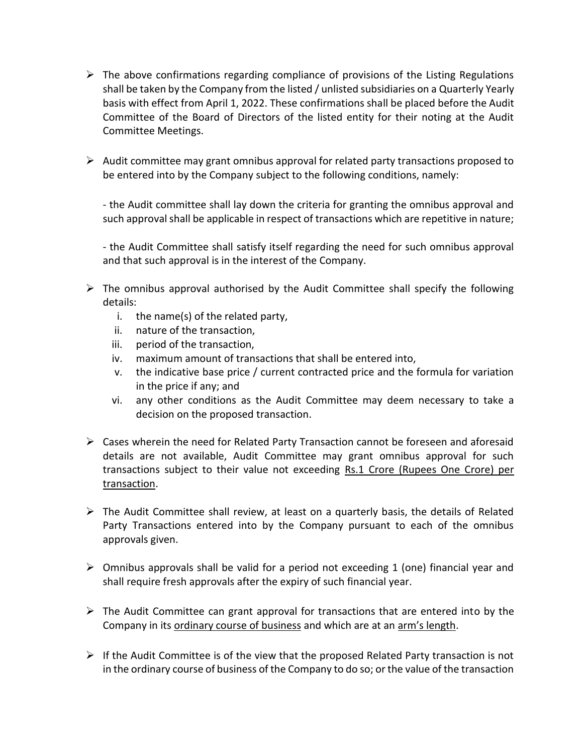- $\triangleright$  The above confirmations regarding compliance of provisions of the Listing Regulations shall be taken by the Company from the listed / unlisted subsidiaries on a Quarterly Yearly basis with effect from April 1, 2022. These confirmations shall be placed before the Audit Committee of the Board of Directors of the listed entity for their noting at the Audit Committee Meetings.
- $\triangleright$  Audit committee may grant omnibus approval for related party transactions proposed to be entered into by the Company subject to the following conditions, namely:

- the Audit committee shall lay down the criteria for granting the omnibus approval and such approval shall be applicable in respect of transactions which are repetitive in nature;

- the Audit Committee shall satisfy itself regarding the need for such omnibus approval and that such approval is in the interest of the Company.

- $\triangleright$  The omnibus approval authorised by the Audit Committee shall specify the following details:
	- i. the name(s) of the related party,
	- ii. nature of the transaction,
	- iii. period of the transaction,
	- iv. maximum amount of transactions that shall be entered into,
	- v. the indicative base price / current contracted price and the formula for variation in the price if any; and
	- vi. any other conditions as the Audit Committee may deem necessary to take a decision on the proposed transaction.
- $\triangleright$  Cases wherein the need for Related Party Transaction cannot be foreseen and aforesaid details are not available, Audit Committee may grant omnibus approval for such transactions subject to their value not exceeding Rs.1 Crore (Rupees One Crore) per transaction.
- $\triangleright$  The Audit Committee shall review, at least on a quarterly basis, the details of Related Party Transactions entered into by the Company pursuant to each of the omnibus approvals given.
- $\triangleright$  Omnibus approvals shall be valid for a period not exceeding 1 (one) financial year and shall require fresh approvals after the expiry of such financial year.
- $\triangleright$  The Audit Committee can grant approval for transactions that are entered into by the Company in its ordinary course of business and which are at an arm's length.
- $\triangleright$  If the Audit Committee is of the view that the proposed Related Party transaction is not in the ordinary course of business of the Company to do so; or the value of the transaction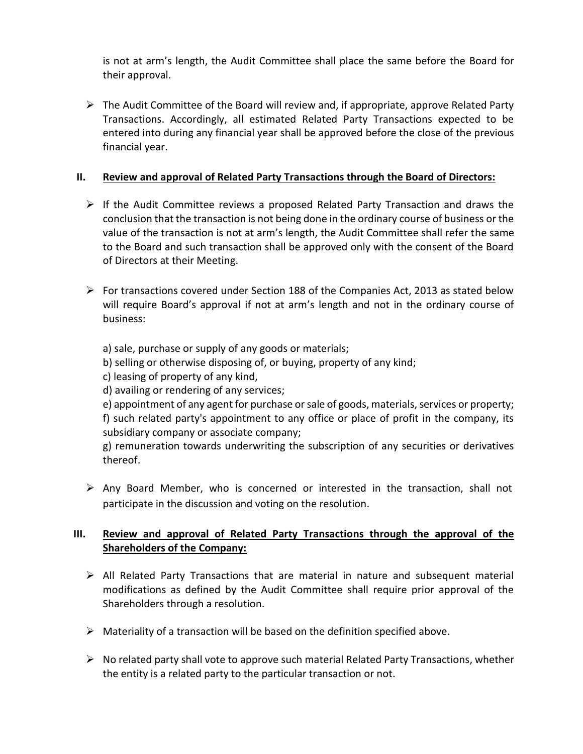is not at arm's length, the Audit Committee shall place the same before the Board for their approval.

 $\triangleright$  The Audit Committee of the Board will review and, if appropriate, approve Related Party Transactions. Accordingly, all estimated Related Party Transactions expected to be entered into during any financial year shall be approved before the close of the previous financial year.

### **II. Review and approval of Related Party Transactions through the Board of Directors:**

- $\triangleright$  If the Audit Committee reviews a proposed Related Party Transaction and draws the conclusion that the transaction is not being done in the ordinary course of business or the value of the transaction is not at arm's length, the Audit Committee shall refer the same to the Board and such transaction shall be approved only with the consent of the Board of Directors at their Meeting.
- $\triangleright$  For transactions covered under Section 188 of the Companies Act, 2013 as stated below will require Board's approval if not at arm's length and not in the ordinary course of business:

a) sale, purchase or supply of any goods or materials;

b) selling or otherwise disposing of, or buying, property of any kind;

c) leasing of property of any kind,

d) availing or rendering of any services;

e) appointment of any agent for purchase or sale of goods, materials, services or property; f) such related party's appointment to any office or place of profit in the company, its subsidiary company or associate company;

g) remuneration towards underwriting the subscription of any securities or derivatives thereof.

 $\triangleright$  Any Board Member, who is concerned or interested in the transaction, shall not participate in the discussion and voting on the resolution.

# **III. Review and approval of Related Party Transactions through the approval of the Shareholders of the Company:**

- $\triangleright$  All Related Party Transactions that are material in nature and subsequent material modifications as defined by the Audit Committee shall require prior approval of the Shareholders through a resolution.
- $\triangleright$  Materiality of a transaction will be based on the definition specified above.
- $\triangleright$  No related party shall vote to approve such material Related Party Transactions, whether the entity is a related party to the particular transaction or not.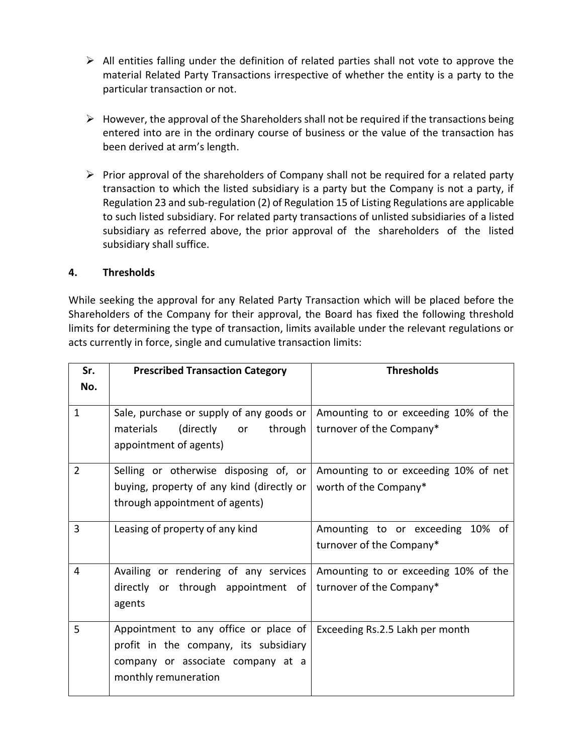- $\triangleright$  All entities falling under the definition of related parties shall not vote to approve the material Related Party Transactions irrespective of whether the entity is a party to the particular transaction or not.
- $\triangleright$  However, the approval of the Shareholders shall not be required if the transactions being entered into are in the ordinary course of business or the value of the transaction has been derived at arm's length.
- $\triangleright$  Prior approval of the shareholders of Company shall not be required for a related party transaction to which the listed subsidiary is a party but the Company is not a party, if Regulation 23 and sub-regulation (2) of Regulation 15 of Listing Regulations are applicable to such listed subsidiary. For related party transactions of unlisted subsidiaries of a listed subsidiary as referred above, the prior approval of the shareholders of the listed subsidiary shall suffice.

#### **4. Thresholds**

While seeking the approval for any Related Party Transaction which will be placed before the Shareholders of the Company for their approval, the Board has fixed the following threshold limits for determining the type of transaction, limits available under the relevant regulations or acts currently in force, single and cumulative transaction limits:

| Sr.            | <b>Prescribed Transaction Category</b>                                                                                                      | <b>Thresholds</b>                                                |
|----------------|---------------------------------------------------------------------------------------------------------------------------------------------|------------------------------------------------------------------|
| No.            |                                                                                                                                             |                                                                  |
| $\mathbf{1}$   | Sale, purchase or supply of any goods or $ $<br>through<br>materials<br>(directly<br>or<br>appointment of agents)                           | Amounting to or exceeding 10% of the<br>turnover of the Company* |
| $\overline{2}$ | Selling or otherwise disposing of, or<br>buying, property of any kind (directly or<br>through appointment of agents)                        | Amounting to or exceeding 10% of net<br>worth of the Company*    |
| 3              | Leasing of property of any kind                                                                                                             | Amounting to or exceeding 10% of<br>turnover of the Company*     |
| 4              | Availing or rendering of any services<br>directly or through appointment of<br>agents                                                       | Amounting to or exceeding 10% of the<br>turnover of the Company* |
| 5              | Appointment to any office or place of<br>profit in the company, its subsidiary<br>company or associate company at a<br>monthly remuneration | Exceeding Rs.2.5 Lakh per month                                  |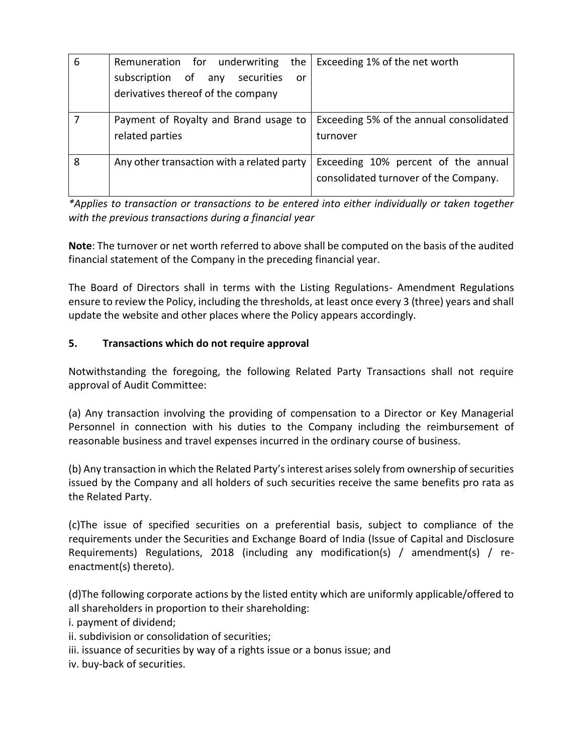| 6 | the<br>Remuneration for underwriting       | Exceeding 1% of the net worth           |
|---|--------------------------------------------|-----------------------------------------|
|   | subscription of any<br>securities<br>or    |                                         |
|   | derivatives thereof of the company         |                                         |
|   | Payment of Royalty and Brand usage to      | Exceeding 5% of the annual consolidated |
|   | related parties                            | turnover                                |
| 8 | Any other transaction with a related party | Exceeding 10% percent of the annual     |
|   |                                            | consolidated turnover of the Company.   |

*\*Applies to transaction or transactions to be entered into either individually or taken together with the previous transactions during a financial year*

**Note**: The turnover or net worth referred to above shall be computed on the basis of the audited financial statement of the Company in the preceding financial year.

The Board of Directors shall in terms with the Listing Regulations- Amendment Regulations ensure to review the Policy, including the thresholds, at least once every 3 (three) years and shall update the website and other places where the Policy appears accordingly.

# **5. Transactions which do not require approval**

Notwithstanding the foregoing, the following Related Party Transactions shall not require approval of Audit Committee:

(a) Any transaction involving the providing of compensation to a Director or Key Managerial Personnel in connection with his duties to the Company including the reimbursement of reasonable business and travel expenses incurred in the ordinary course of business.

(b) Any transaction in which the Related Party's interest arises solely from ownership of securities issued by the Company and all holders of such securities receive the same benefits pro rata as the Related Party.

(c)The issue of specified securities on a preferential basis, subject to compliance of the requirements under the Securities and Exchange Board of India (Issue of Capital and Disclosure Requirements) Regulations, 2018 (including any modification(s) / amendment(s) / reenactment(s) thereto).

(d)The following corporate actions by the listed entity which are uniformly applicable/offered to all shareholders in proportion to their shareholding:

i. payment of dividend;

- ii. subdivision or consolidation of securities;
- iii. issuance of securities by way of a rights issue or a bonus issue; and
- iv. buy-back of securities.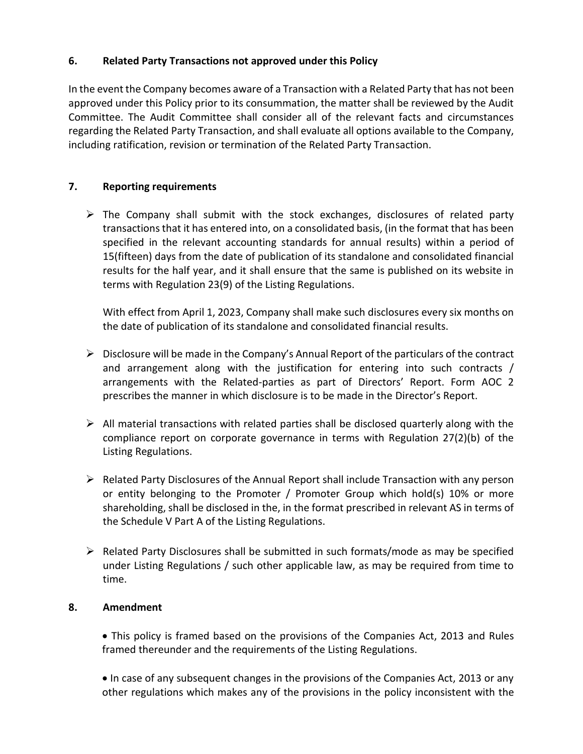#### **6. Related Party Transactions not approved under this Policy**

In the event the Company becomes aware of a Transaction with a Related Party that has not been approved under this Policy prior to its consummation, the matter shall be reviewed by the Audit Committee. The Audit Committee shall consider all of the relevant facts and circumstances regarding the Related Party Transaction, and shall evaluate all options available to the Company, including ratification, revision or termination of the Related Party Transaction.

#### **7. Reporting requirements**

 $\triangleright$  The Company shall submit with the stock exchanges, disclosures of related party transactions that it has entered into, on a consolidated basis, (in the format that has been specified in the relevant accounting standards for annual results) within a period of 15(fifteen) days from the date of publication of its standalone and consolidated financial results for the half year, and it shall ensure that the same is published on its website in terms with Regulation 23(9) of the Listing Regulations.

With effect from April 1, 2023, Company shall make such disclosures every six months on the date of publication of its standalone and consolidated financial results.

- $\triangleright$  Disclosure will be made in the Company's Annual Report of the particulars of the contract and arrangement along with the justification for entering into such contracts / arrangements with the Related-parties as part of Directors' Report. Form AOC 2 prescribes the manner in which disclosure is to be made in the Director's Report.
- $\triangleright$  All material transactions with related parties shall be disclosed quarterly along with the compliance report on corporate governance in terms with Regulation 27(2)(b) of the Listing Regulations.
- $\triangleright$  Related Party Disclosures of the Annual Report shall include Transaction with any person or entity belonging to the Promoter / Promoter Group which hold(s) 10% or more shareholding, shall be disclosed in the, in the format prescribed in relevant AS in terms of the Schedule V Part A of the Listing Regulations.
- $\triangleright$  Related Party Disclosures shall be submitted in such formats/mode as may be specified under Listing Regulations / such other applicable law, as may be required from time to time.

#### **8. Amendment**

 This policy is framed based on the provisions of the Companies Act, 2013 and Rules framed thereunder and the requirements of the Listing Regulations.

• In case of any subsequent changes in the provisions of the Companies Act, 2013 or any other regulations which makes any of the provisions in the policy inconsistent with the